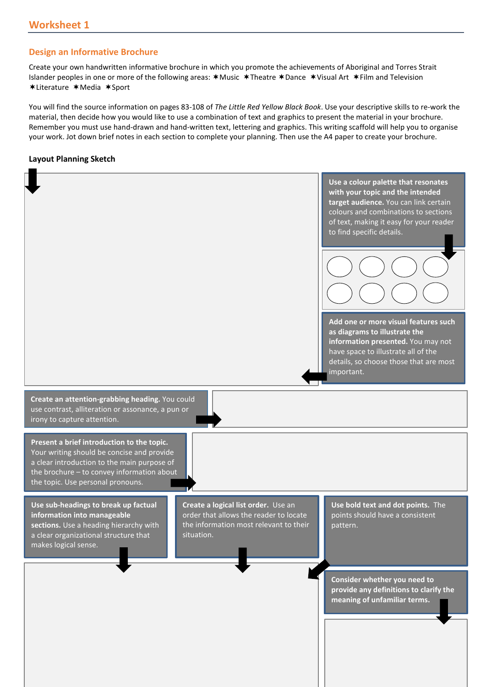## **Design an Informative Brochure**

Create your own handwritten informative brochure in which you promote the achievements of Aboriginal and Torres Strait Islander peoples in one or more of the following areas:  $*$  Music  $*$  Theatre  $*$  Dance  $*$  Visual Art  $*$  Film and Television \*Literature \*Media \*Sport

You will find the source information on pages 83-108 of *The Little Red Yellow Black Book*. Use your descriptive skills to re-work the material, then decide how you would like to use a combination of text and graphics to present the material in your brochure. Remember you must use hand-drawn and hand-written text, lettering and graphics. This writing scaffold will help you to organise your work. Jot down brief notes in each section to complete your planning. Then use the A4 paper to create your brochure.

## **Layout Planning Sketch**